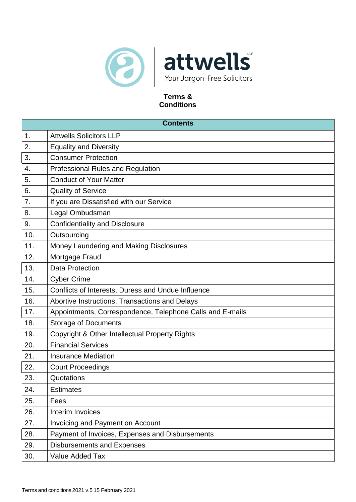

# **Terms & Conditions**

| <b>Contents</b> |                                                           |  |
|-----------------|-----------------------------------------------------------|--|
| 1.              | <b>Attwells Solicitors LLP</b>                            |  |
| 2.              | <b>Equality and Diversity</b>                             |  |
| 3.              | <b>Consumer Protection</b>                                |  |
| 4.              | <b>Professional Rules and Regulation</b>                  |  |
| 5.              | <b>Conduct of Your Matter</b>                             |  |
| 6.              | <b>Quality of Service</b>                                 |  |
| 7.              | If you are Dissatisfied with our Service                  |  |
| 8.              | Legal Ombudsman                                           |  |
| 9.              | <b>Confidentiality and Disclosure</b>                     |  |
| 10.             | Outsourcing                                               |  |
| 11.             | Money Laundering and Making Disclosures                   |  |
| 12.             | Mortgage Fraud                                            |  |
| 13.             | <b>Data Protection</b>                                    |  |
| 14.             | <b>Cyber Crime</b>                                        |  |
| 15.             | Conflicts of Interests, Duress and Undue Influence        |  |
| 16.             | Abortive Instructions, Transactions and Delays            |  |
| 17.             | Appointments, Correspondence, Telephone Calls and E-mails |  |
| 18.             | <b>Storage of Documents</b>                               |  |
| 19.             | Copyright & Other Intellectual Property Rights            |  |
| 20.             | <b>Financial Services</b>                                 |  |
| 21.             | <b>Insurance Mediation</b>                                |  |
| 22.             | <b>Court Proceedings</b>                                  |  |
| 23.             | Quotations                                                |  |
| 24.             | <b>Estimates</b>                                          |  |
| 25.             | Fees                                                      |  |
| 26.             | Interim Invoices                                          |  |
| 27.             | <b>Invoicing and Payment on Account</b>                   |  |
| 28.             | Payment of Invoices, Expenses and Disbursements           |  |
| 29.             | <b>Disbursements and Expenses</b>                         |  |
| 30.             | Value Added Tax                                           |  |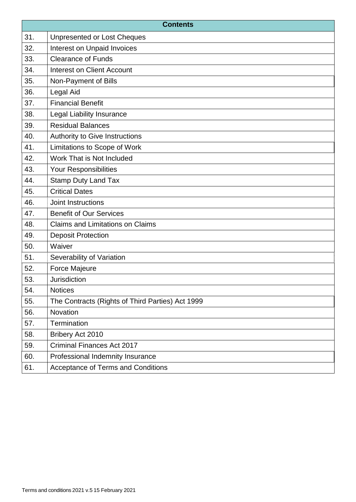| <b>Contents</b> |                                                  |
|-----------------|--------------------------------------------------|
| 31.             | <b>Unpresented or Lost Cheques</b>               |
| 32.             | Interest on Unpaid Invoices                      |
| 33.             | <b>Clearance of Funds</b>                        |
| 34.             | <b>Interest on Client Account</b>                |
| 35.             | Non-Payment of Bills                             |
| 36.             | Legal Aid                                        |
| 37.             | <b>Financial Benefit</b>                         |
| 38.             | Legal Liability Insurance                        |
| 39.             | <b>Residual Balances</b>                         |
| 40.             | Authority to Give Instructions                   |
| 41.             | Limitations to Scope of Work                     |
| 42.             | Work That is Not Included                        |
| 43.             | Your Responsibilities                            |
| 44.             | <b>Stamp Duty Land Tax</b>                       |
| 45.             | <b>Critical Dates</b>                            |
| 46.             | Joint Instructions                               |
| 47.             | <b>Benefit of Our Services</b>                   |
| 48.             | <b>Claims and Limitations on Claims</b>          |
| 49.             | <b>Deposit Protection</b>                        |
| 50.             | Waiver                                           |
| 51.             | Severability of Variation                        |
| 52.             | Force Majeure                                    |
| 53.             | <b>Jurisdiction</b>                              |
| 54.             | <b>Notices</b>                                   |
| 55.             | The Contracts (Rights of Third Parties) Act 1999 |
| 56.             | Novation                                         |
| 57.             | Termination                                      |
| 58.             | Bribery Act 2010                                 |
| 59.             | <b>Criminal Finances Act 2017</b>                |
| 60.             | Professional Indemnity Insurance                 |
| 61.             | <b>Acceptance of Terms and Conditions</b>        |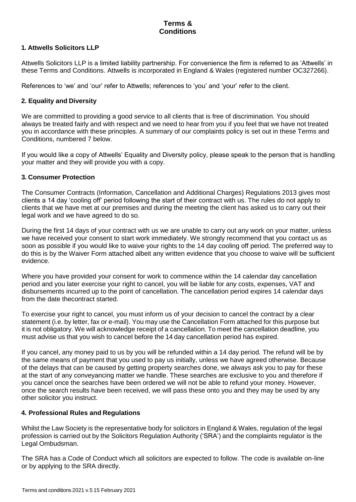# **Terms & Conditions**

# **1. Attwells Solicitors LLP**

Attwells Solicitors LLP is a limited liability partnership. For convenience the firm is referred to as 'Attwells' in these Terms and Conditions. Attwells is incorporated in England & Wales (registered number OC327266).

References to 'we' and 'our' refer to Attwells; references to 'you' and 'your' refer to the client.

# **2. Equality and Diversity**

We are committed to providing a good service to all clients that is free of discrimination. You should always be treated fairly and with respect and we need to hear from you if you feel that we have not treated you in accordance with these principles. A summary of our complaints policy is set out in these Terms and Conditions, numbered 7 below.

If you would like a copy of Attwells' Equality and Diversity policy, please speak to the person that is handling your matter and they will provide you with a copy.

# **3. Consumer Protection**

The Consumer Contracts (Information, Cancellation and Additional Charges) Regulations 2013 gives most clients a 14 day 'cooling off' period following the start of their contract with us. The rules do not apply to clients that we have met at our premises and during the meeting the client has asked us to carry out their legal work and we have agreed to do so.

During the first 14 days of your contract with us we are unable to carry out any work on your matter, unless we have received your consent to start work immediately. We strongly recommend that you contact us as soon as possible if you would like to waive your rights to the 14 day cooling off period. The preferred way to do this is by the Waiver Form attached albeit any written evidence that you choose to waive will be sufficient evidence.

Where you have provided your consent for work to commence within the 14 calendar day cancellation period and you later exercise your right to cancel, you will be liable for any costs, expenses, VAT and disbursements incurred up to the point of cancellation. The cancellation period expires 14 calendar days from the date thecontract started.

To exercise your right to cancel, you must inform us of your decision to cancel the contract by a clear statement (i.e. by letter, fax or e-mail). You may use the Cancellation Form attached for this purpose but it is not obligatory. We will acknowledge receipt of a cancellation. To meet the cancellation deadline, you must advise us that you wish to cancel before the 14 day cancellation period has expired.

If you cancel, any money paid to us by you will be refunded within a 14 day period. The refund will be by the same means of payment that you used to pay us initially, unless we have agreed otherwise. Because of the delays that can be caused by getting property searches done, we always ask you to pay for these at the start of any conveyancing matter we handle. These searches are exclusive to you and therefore if you cancel once the searches have been ordered we will not be able to refund your money. However, once the search results have been received, we will pass these onto you and they may be used by any other solicitor you instruct.

# **4. Professional Rules and Regulations**

Whilst the Law Society is the representative body for solicitors in England & Wales, regulation of the legal profession is carried out by the Solicitors Regulation Authority ('SRA') and the complaints regulator is the Legal Ombudsman.

The SRA has a Code of Conduct which all solicitors are expected to follow. The code is available on-line or by applying to the SRA directly.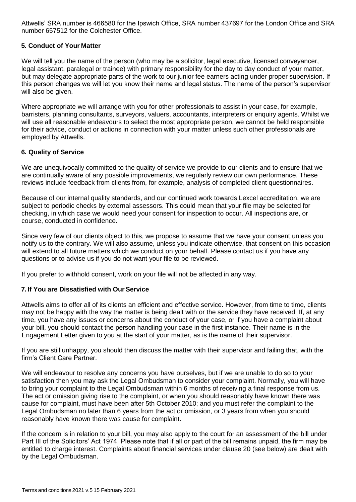Attwells' SRA number is 466580 for the Ipswich Office, SRA number 437697 for the London Office and SRA number 657512 for the Colchester Office.

# **5. Conduct of Your Matter**

We will tell you the name of the person (who may be a solicitor, legal executive, licensed conveyancer, legal assistant, paralegal or trainee) with primary responsibility for the day to day conduct of your matter, but may delegate appropriate parts of the work to our junior fee earners acting under proper supervision. If this person changes we will let you know their name and legal status. The name of the person's supervisor will also be given.

Where appropriate we will arrange with you for other professionals to assist in your case, for example, barristers, planning consultants, surveyors, valuers, accountants, interpreters or enquiry agents. Whilst we will use all reasonable endeavours to select the most appropriate person, we cannot be held responsible for their advice, conduct or actions in connection with your matter unless such other professionals are employed by Attwells.

# **6. Quality of Service**

We are unequivocally committed to the quality of service we provide to our clients and to ensure that we are continually aware of any possible improvements, we regularly review our own performance. These reviews include feedback from clients from, for example, analysis of completed client questionnaires.

Because of our internal quality standards, and our continued work towards Lexcel accreditation, we are subject to periodic checks by external assessors. This could mean that your file may be selected for checking, in which case we would need your consent for inspection to occur. All inspections are, or course, conducted in confidence.

Since very few of our clients object to this, we propose to assume that we have your consent unless you notify us to the contrary. We will also assume, unless you indicate otherwise, that consent on this occasion will extend to all future matters which we conduct on your behalf. Please contact us if you have any questions or to advise us if you do not want your file to be reviewed.

If you prefer to withhold consent, work on your file will not be affected in any way.

# **7. If You are Dissatisfied with OurService**

Attwells aims to offer all of its clients an efficient and effective service. However, from time to time, clients may not be happy with the way the matter is being dealt with or the service they have received. If, at any time, you have any issues or concerns about the conduct of your case, or if you have a complaint about your bill, you should contact the person handling your case in the first instance. Their name is in the Engagement Letter given to you at the start of your matter, as is the name of their supervisor.

If you are still unhappy, you should then discuss the matter with their supervisor and failing that, with the firm's Client Care Partner.

We will endeavour to resolve any concerns you have ourselves, but if we are unable to do so to your satisfaction then you may ask the Legal Ombudsman to consider your complaint. Normally, you will have to bring your complaint to the Legal Ombudsman within 6 months of receiving a final response from us. The act or omission giving rise to the complaint, or when you should reasonably have known there was cause for complaint, must have been after 5th October 2010; and you must refer the complaint to the Legal Ombudsman no later than 6 years from the act or omission, or 3 years from when you should reasonably have known there was cause for complaint.

If the concern is in relation to your bill, you may also apply to the court for an assessment of the bill under Part III of the Solicitors' Act 1974. Please note that if all or part of the bill remains unpaid, the firm may be entitled to charge interest. Complaints about financial services under clause 20 (see below) are dealt with by the Legal Ombudsman.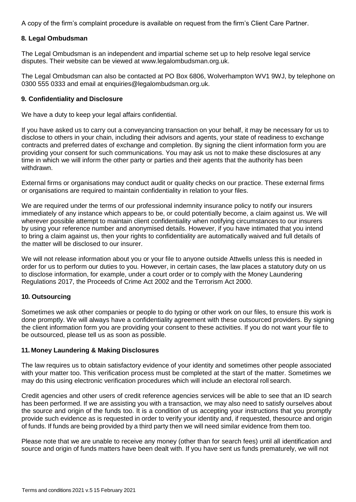A copy of the firm's complaint procedure is available on request from the firm's Client Care Partner.

# **8. Legal Ombudsman**

The Legal Ombudsman is an independent and impartial scheme set up to help resolve legal service disputes. Their website can be vie[wed at www.legalombudsman.org.uk.](http://www.legalombudsman.org.uk/)

The Legal Ombudsman can also be contacted at PO Box 6806, Wolverhampton WV1 9WJ, by telephone o[n](mailto:enquiries@legalombudsman.org.uk) [0300 555 0333 and email at enquiries@legalombudsman.org.uk.](mailto:enquiries@legalombudsman.org.uk)

### **9. Confidentiality and Disclosure**

We have a duty to keep your legal affairs confidential.

If you have asked us to carry out a conveyancing transaction on your behalf, it may be necessary for us to disclose to others in your chain, including their advisors and agents, your state of readiness to exchange contracts and preferred dates of exchange and completion. By signing the client information form you are providing your consent for such communications. You may ask us not to make these disclosures at any time in which we will inform the other party or parties and their agents that the authority has been withdrawn.

External firms or organisations may conduct audit or quality checks on our practice. These external firms or organisations are required to maintain confidentiality in relation to your files.

We are required under the terms of our professional indemnity insurance policy to notify our insurers immediately of any instance which appears to be, or could potentially become, a claim against us. We will wherever possible attempt to maintain client confidentiality when notifying circumstances to our insurers by using your reference number and anonymised details. However, if you have intimated that you intend to bring a claim against us, then your rights to confidentiality are automatically waived and full details of the matter will be disclosed to our insurer.

We will not release information about you or your file to anyone outside Attwells unless this is needed in order for us to perform our duties to you. However, in certain cases, the law places a statutory duty on us to disclose information, for example, under a court order or to comply with the Money Laundering Regulations 2017, the Proceeds of Crime Act 2002 and the Terrorism Act 2000.

# **10. Outsourcing**

Sometimes we ask other companies or people to do typing or other work on our files, to ensure this work is done promptly. We will always have a confidentiality agreement with these outsourced providers. By signing the client information form you are providing your consent to these activities. If you do not want your file to be outsourced, please tell us as soon as possible.

# **11. Money Laundering & Making Disclosures**

The law requires us to obtain satisfactory evidence of your identity and sometimes other people associated with your matter too. This verification process must be completed at the start of the matter. Sometimes we may do this using electronic verification procedures which will include an electoral roll search.

Credit agencies and other users of credit reference agencies services will be able to see that an ID search has been performed. If we are assisting you with a transaction, we may also need to satisfy ourselves about the source and origin of the funds too. It is a condition of us accepting your instructions that you promptly provide such evidence as is requested in order to verify your identity and, if requested, thesource and origin of funds. If funds are being provided by a third party then we will need similar evidence from them too.

Please note that we are unable to receive any money (other than for search fees) until all identification and source and origin of funds matters have been dealt with. If you have sent us funds prematurely, we will not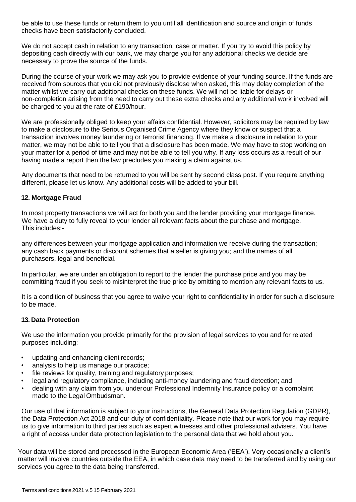be able to use these funds or return them to you until all identification and source and origin of funds checks have been satisfactorily concluded.

We do not accept cash in relation to any transaction, case or matter. If you try to avoid this policy by depositing cash directly with our bank, we may charge you for any additional checks we decide are necessary to prove the source of the funds.

During the course of your work we may ask you to provide evidence of your funding source. If the funds are received from sources that you did not previously disclose when asked, this may delay completion of the matter whilst we carry out additional checks on these funds. We will not be liable for delays or non-completion arising from the need to carry out these extra checks and any additional work involved will be charged to you at the rate of £190/hour.

We are professionally obliged to keep your affairs confidential. However, solicitors may be required by law to make a disclosure to the Serious Organised Crime Agency where they know or suspect that a transaction involves money laundering or terrorist financing. If we make a disclosure in relation to your matter, we may not be able to tell you that a disclosure has been made. We may have to stop working on your matter for a period of time and may not be able to tell you why. If any loss occurs as a result of our having made a report then the law precludes you making a claim against us.

Any documents that need to be returned to you will be sent by second class post. If you require anything different, please let us know. Any additional costs will be added to your bill.

# **12. Mortgage Fraud**

In most property transactions we will act for both you and the lender providing your mortgage finance. We have a duty to fully reveal to your lender all relevant facts about the purchase and mortgage. This includes:-

any differences between your mortgage application and information we receive during the transaction; any cash back payments or discount schemes that a seller is giving you; and the names of all purchasers, legal and beneficial.

In particular, we are under an obligation to report to the lender the purchase price and you may be committing fraud if you seek to misinterpret the true price by omitting to mention any relevant facts to us.

It is a condition of business that you agree to waive your right to confidentiality in order for such a disclosure to be made.

# **13. Data Protection**

We use the information you provide primarily for the provision of legal services to you and for related purposes including:

- updating and enhancing client records;
- analysis to help us manage our practice;
- file reviews for quality, training and regulatory purposes;
- legal and regulatory compliance, including anti-money laundering and fraud detection; and
- dealing with any claim from you underour Professional Indemnity Insurance policy or a complaint made to the Legal Ombudsman.

Our use of that information is subject to your instructions, the General Data Protection Regulation (GDPR), the Data Protection Act 2018 and our duty of confidentiality. Please note that our work for you may require us to give information to third parties such as expert witnesses and other professional advisers. You have a right of access under data protection legislation to the personal data that we hold about you.

Your data will be stored and processed in the European Economic Area ('EEA'). Very occasionally a client's matter will involve countries outside the EEA, in which case data may need to be transferred and by using our services you agree to the data being transferred.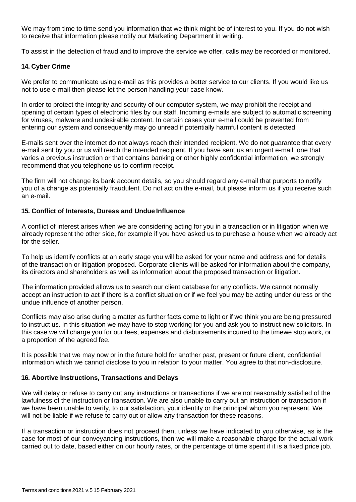We may from time to time send you information that we think might be of interest to you. If you do not wish to receive that information please notify our Marketing Department in writing.

To assist in the detection of fraud and to improve the service we offer, calls may be recorded or monitored.

### **14. Cyber Crime**

We prefer to communicate using e-mail as this provides a better service to our clients. If you would like us not to use e-mail then please let the person handling your case know.

In order to protect the integrity and security of our computer system, we may prohibit the receipt and opening of certain types of electronic files by our staff. Incoming e-mails are subject to automatic screening for viruses, malware and undesirable content. In certain cases your e-mail could be prevented from entering our system and consequently may go unread if potentially harmful content is detected.

E-mails sent over the internet do not always reach their intended recipient. We do not guarantee that every e-mail sent by you or us will reach the intended recipient. If you have sent us an urgent e-mail, one that varies a previous instruction or that contains banking or other highly confidential information, we strongly recommend that you telephone us to confirm receipt.

The firm will not change its bank account details, so you should regard any e-mail that purports to notify you of a change as potentially fraudulent. Do not act on the e-mail, but please inform us if you receive such an e-mail.

# **15. Conflict of Interests, Duress and Undue Influence**

A conflict of interest arises when we are considering acting for you in a transaction or in litigation when we already represent the other side, for example if you have asked us to purchase a house when we already act for the seller.

To help us identify conflicts at an early stage you will be asked for your name and address and for details of the transaction or litigation proposed. Corporate clients will be asked for information about the company, its directors and shareholders as well as information about the proposed transaction or litigation.

The information provided allows us to search our client database for any conflicts. We cannot normally accept an instruction to act if there is a conflict situation or if we feel you may be acting under duress or the undue influence of another person.

Conflicts may also arise during a matter as further facts come to light or if we think you are being pressured to instruct us. In this situation we may have to stop working for you and ask you to instruct new solicitors. In this case we will charge you for our fees, expenses and disbursements incurred to the timewe stop work, or a proportion of the agreed fee.

It is possible that we may now or in the future hold for another past, present or future client, confidential information which we cannot disclose to you in relation to your matter. You agree to that non-disclosure.

# **16. Abortive Instructions, Transactions and Delays**

We will delay or refuse to carry out any instructions or transactions if we are not reasonably satisfied of the lawfulness of the instruction or transaction. We are also unable to carry out an instruction or transaction if we have been unable to verify, to our satisfaction, your identity or the principal whom you represent. We will not be liable if we refuse to carry out or allow any transaction for these reasons.

If a transaction or instruction does not proceed then, unless we have indicated to you otherwise, as is the case for most of our conveyancing instructions, then we will make a reasonable charge for the actual work carried out to date, based either on our hourly rates, or the percentage of time spent if it is a fixed price job.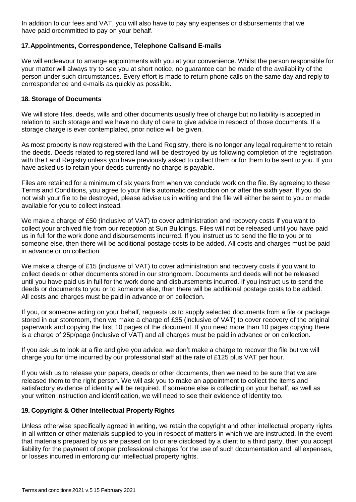In addition to our fees and VAT, you will also have to pay any expenses or disbursements that we have paid orcommitted to pay on your behalf.

# **17.Appointments, Correspondence, Telephone Callsand E-mails**

We will endeavour to arrange appointments with you at your convenience. Whilst the person responsible for your matter will always try to see you at short notice, no guarantee can be made of the availability of the person under such circumstances. Every effort is made to return phone calls on the same day and reply to correspondence and e-mails as quickly as possible.

### **18. Storage of Documents**

We will store files, deeds, wills and other documents usually free of charge but no liability is accepted in relation to such storage and we have no duty of care to give advice in respect of those documents. If a storage charge is ever contemplated, prior notice will be given.

As most property is now registered with the Land Registry, there is no longer any legal requirement to retain the deeds. Deeds related to registered land will be destroyed by us following completion of the registration with the Land Registry unless you have previously asked to collect them or for them to be sent to you. If you have asked us to retain your deeds currently no charge is payable.

Files are retained for a minimum of six years from when we conclude work on the file. By agreeing to these Terms and Conditions, you agree to your file's automatic destruction on or after the sixth year. If you do not wish your file to be destroyed, please advise us in writing and the file will either be sent to you or made available for you to collect instead.

We make a charge of £50 (inclusive of VAT) to cover administration and recovery costs if you want to collect your archived file from our reception at Sun Buildings. Files will not be released until you have paid us in full for the work done and disbursements incurred. If you instruct us to send the file to you or to someone else, then there will be additional postage costs to be added. All costs and charges must be paid in advance or on collection.

We make a charge of £15 (inclusive of VAT) to cover administration and recovery costs if you want to collect deeds or other documents stored in our strongroom. Documents and deeds will not be released until you have paid us in full for the work done and disbursements incurred. If you instruct us to send the deeds or documents to you or to someone else, then there will be additional postage costs to be added. All costs and charges must be paid in advance or on collection.

If you, or someone acting on your behalf, requests us to supply selected documents from a file or package stored in our storeroom, then we make a charge of £35 (inclusive of VAT) to cover recovery of the original paperwork and copying the first 10 pages of the document. If you need more than 10 pages copying there is a charge of 25p/page (inclusive of VAT) and all charges must be paid in advance or on collection.

If you ask us to look at a file and give you advice, we don't make a charge to recover the file but we will charge you for time incurred by our professional staff at the rate of £125 plus VAT per hour.

If you wish us to release your papers, deeds or other documents, then we need to be sure that we are released them to the right person. We will ask you to make an appointment to collect the items and satisfactory evidence of identity will be required. If someone else is collecting on your behalf, as well as your written instruction and identification, we will need to see their evidence of identity too.

# **19. Copyright & Other Intellectual Property Rights**

Unless otherwise specifically agreed in writing, we retain the copyright and other intellectual property rights in all written or other materials supplied to you in respect of matters in which we are instructed. In the event that materials prepared by us are passed on to or are disclosed by a client to a third party, then you accept liability for the payment of proper professional charges for the use of such documentation and all expenses, or losses incurred in enforcing our intellectual property rights.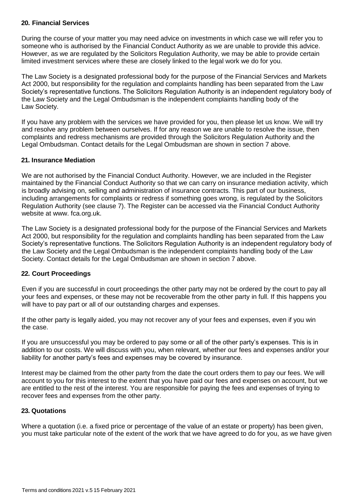# **20. Financial Services**

During the course of your matter you may need advice on investments in which case we will refer you to someone who is authorised by the Financial Conduct Authority as we are unable to provide this advice. However, as we are regulated by the Solicitors Regulation Authority, we may be able to provide certain limited investment services where these are closely linked to the legal work we do for you.

The Law Society is a designated professional body for the purpose of the Financial Services and Markets Act 2000, but responsibility for the regulation and complaints handling has been separated from the Law Society's representative functions. The Solicitors Regulation Authority is an independent regulatory body of the Law Society and the Legal Ombudsman is the independent complaints handling body of the Law Society.

If you have any problem with the services we have provided for you, then please let us know. We will try and resolve any problem between ourselves. If for any reason we are unable to resolve the issue, then complaints and redress mechanisms are provided through the Solicitors Regulation Authority and the Legal Ombudsman. Contact details for the Legal Ombudsman are shown in section 7 above.

# **21. Insurance Mediation**

We are not authorised by the Financial Conduct Authority. However, we are included in the Register maintained by the Financial Conduct Authority so that we can carry on insurance mediation activity, which is broadly advising on, selling and administration of insurance contracts. This part of our business, including arrangements for complaints or redress if something goes wrong, is regulated by the Solicitors Regulation Authority (see clause 7). The Register can be accessed via the Financial Conduct Authority [website at www. f](http://www/)ca.org.uk.

The Law Society is a designated professional body for the purpose of the Financial Services and Markets Act 2000, but responsibility for the regulation and complaints handling has been separated from the Law Society's representative functions. The Solicitors Regulation Authority is an independent regulatory body of the Law Society and the Legal Ombudsman is the independent complaints handling body of the Law Society. Contact details for the Legal Ombudsman are shown in section 7 above.

# **22. Court Proceedings**

Even if you are successful in court proceedings the other party may not be ordered by the court to pay all your fees and expenses, or these may not be recoverable from the other party in full. If this happens you will have to pay part or all of our outstanding charges and expenses.

If the other party is legally aided, you may not recover any of your fees and expenses, even if you win the case.

If you are unsuccessful you may be ordered to pay some or all of the other party's expenses. This is in addition to our costs. We will discuss with you, when relevant, whether our fees and expenses and/or your liability for another party's fees and expenses may be covered by insurance.

Interest may be claimed from the other party from the date the court orders them to pay our fees. We will account to you for this interest to the extent that you have paid our fees and expenses on account, but we are entitled to the rest of the interest. You are responsible for paying the fees and expenses of trying to recover fees and expenses from the other party.

# **23. Quotations**

Where a quotation (i.e. a fixed price or percentage of the value of an estate or property) has been given, you must take particular note of the extent of the work that we have agreed to do for you, as we have given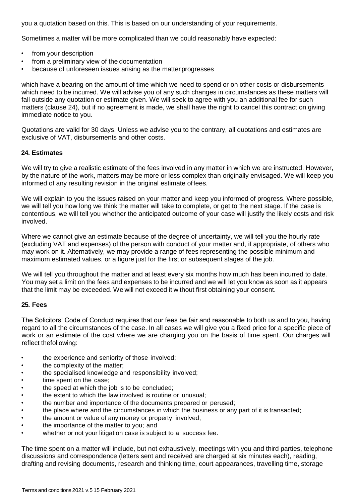you a quotation based on this. This is based on our understanding of your requirements.

Sometimes a matter will be more complicated than we could reasonably have expected:

- from your description
- from a preliminary view of the documentation
- because of unforeseen issues arising as the matter progresses

which have a bearing on the amount of time which we need to spend or on other costs or disbursements which need to be incurred. We will advise you of any such changes in circumstances as these matters will fall outside any quotation or estimate given. We will seek to agree with you an additional fee for such matters (clause 24), but if no agreement is made, we shall have the right to cancel this contract on giving immediate notice to you.

Quotations are valid for 30 days. Unless we advise you to the contrary, all quotations and estimates are exclusive of VAT, disbursements and other costs.

### **24. Estimates**

We will try to give a realistic estimate of the fees involved in any matter in which we are instructed. However, by the nature of the work, matters may be more or less complex than originally envisaged. We will keep you informed of any resulting revision in the original estimate offees.

We will explain to you the issues raised on your matter and keep you informed of progress. Where possible, we will tell you how long we think the matter will take to complete, or get to the next stage. If the case is contentious, we will tell you whether the anticipated outcome of your case will justify the likely costs and risk involved.

Where we cannot give an estimate because of the degree of uncertainty, we will tell you the hourly rate (excluding VAT and expenses) of the person with conduct of your matter and, if appropriate, of others who may work on it. Alternatively, we may provide a range of fees representing the possible minimum and maximum estimated values, or a figure just for the first or subsequent stages of the job.

We will tell you throughout the matter and at least every six months how much has been incurred to date. You may set a limit on the fees and expenses to be incurred and we will let you know as soon as it appears that the limit may be exceeded. We will not exceed it without first obtaining your consent.

# **25. Fees**

The Solicitors' Code of Conduct requires that our fees be fair and reasonable to both us and to you, having regard to all the circumstances of the case. In all cases we will give you a fixed price for a specific piece of work or an estimate of the cost where we are charging you on the basis of time spent. Our charges will reflect thefollowing:

- the experience and seniority of those involved;
- the complexity of the matter;
- the specialised knowledge and responsibility involved;
- time spent on the case;
- the speed at which the job is to be concluded;
- the extent to which the law involved is routine or unusual;
- the number and importance of the documents prepared or perused;
- the place where and the circumstances in which the business or any part of it is transacted;
- the amount or value of any money or property involved;
- the importance of the matter to you; and
- whether or not your litigation case is subject to a success fee.

The time spent on a matter will include, but not exhaustively, meetings with you and third parties, telephone discussions and correspondence (letters sent and received are charged at six minutes each), reading, drafting and revising documents, research and thinking time, court appearances, travelling time, storage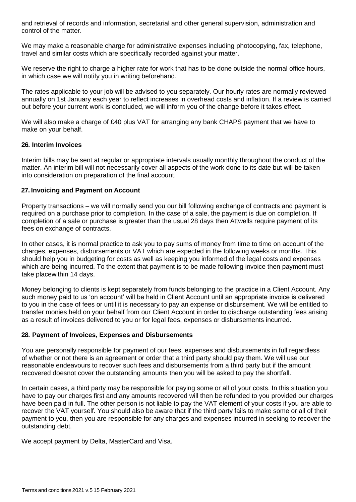and retrieval of records and information, secretarial and other general supervision, administration and control of the matter.

We may make a reasonable charge for administrative expenses including photocopying, fax, telephone, travel and similar costs which are specifically recorded against your matter.

We reserve the right to charge a higher rate for work that has to be done outside the normal office hours, in which case we will notify you in writing beforehand.

The rates applicable to your job will be advised to you separately. Our hourly rates are normally reviewed annually on 1st January each year to reflect increases in overhead costs and inflation. If a review is carried out before your current work is concluded, we will inform you of the change before it takes effect.

We will also make a charge of £40 plus VAT for arranging any bank CHAPS payment that we have to make on your behalf.

# **26. Interim Invoices**

Interim bills may be sent at regular or appropriate intervals usually monthly throughout the conduct of the matter. An interim bill will not necessarily cover all aspects of the work done to its date but will be taken into consideration on preparation of the final account.

### **27. Invoicing and Payment on Account**

Property transactions – we will normally send you our bill following exchange of contracts and payment is required on a purchase prior to completion. In the case of a sale, the payment is due on completion. If completion of a sale or purchase is greater than the usual 28 days then Attwells require payment of its fees on exchange of contracts.

In other cases, it is normal practice to ask you to pay sums of money from time to time on account of the charges, expenses, disbursements or VAT which are expected in the following weeks or months. This should help you in budgeting for costs as well as keeping you informed of the legal costs and expenses which are being incurred. To the extent that payment is to be made following invoice then payment must take placewithin 14 days.

Money belonging to clients is kept separately from funds belonging to the practice in a Client Account. Any such money paid to us 'on account' will be held in Client Account until an appropriate invoice is delivered to you in the case of fees or until it is necessary to pay an expense or disbursement. We will be entitled to transfer monies held on your behalf from our Client Account in order to discharge outstanding fees arising as a result of invoices delivered to you or for legal fees, expenses or disbursements incurred.

# **28. Payment of Invoices, Expenses and Disbursements**

You are personally responsible for payment of our fees, expenses and disbursements in full regardless of whether or not there is an agreement or order that a third party should pay them. We will use our reasonable endeavours to recover such fees and disbursements from a third party but if the amount recovered doesnot cover the outstanding amounts then you will be asked to pay the shortfall.

In certain cases, a third party may be responsible for paying some or all of your costs. In this situation you have to pay our charges first and any amounts recovered will then be refunded to you provided our charges have been paid in full. The other person is not liable to pay the VAT element of your costs if you are able to recover the VAT yourself. You should also be aware that if the third party fails to make some or all of their payment to you, then you are responsible for any charges and expenses incurred in seeking to recover the outstanding debt.

We accept payment by Delta, MasterCard and Visa.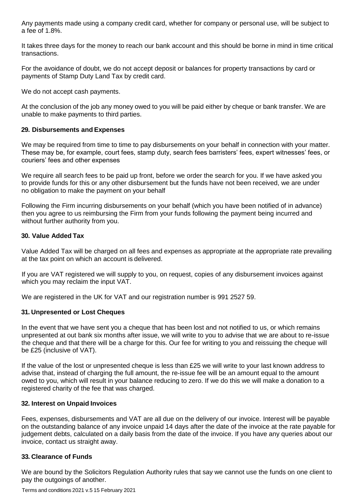Any payments made using a company credit card, whether for company or personal use, will be subject to a fee of 1.8%.

It takes three days for the money to reach our bank account and this should be borne in mind in time critical transactions.

For the avoidance of doubt, we do not accept deposit or balances for property transactions by card or payments of Stamp Duty Land Tax by credit card.

We do not accept cash payments.

At the conclusion of the job any money owed to you will be paid either by cheque or bank transfer. We are unable to make payments to third parties.

### **29. Disbursements and Expenses**

We may be required from time to time to pay disbursements on your behalf in connection with your matter. These may be, for example, court fees, stamp duty, search fees barristers' fees, expert witnesses' fees, or couriers' fees and other expenses

We require all search fees to be paid up front, before we order the search for you. If we have asked you to provide funds for this or any other disbursement but the funds have not been received, we are under no obligation to make the payment on your behalf

Following the Firm incurring disbursements on your behalf (which you have been notified of in advance) then you agree to us reimbursing the Firm from your funds following the payment being incurred and without further authority from you.

### **30. Value Added Tax**

Value Added Tax will be charged on all fees and expenses as appropriate at the appropriate rate prevailing at the tax point on which an account is delivered.

If you are VAT registered we will supply to you, on request, copies of any disbursement invoices against which you may reclaim the input VAT.

We are registered in the UK for VAT and our registration number is 991 2527 59.

# **31. Unpresented or Lost Cheques**

In the event that we have sent you a cheque that has been lost and not notified to us, or which remains unpresented at out bank six months after issue, we will write to you to advise that we are about to re-issue the cheque and that there will be a charge for this. Our fee for writing to you and reissuing the cheque will be £25 (inclusive of VAT).

If the value of the lost or unpresented cheque is less than £25 we will write to your last known address to advise that, instead of charging the full amount, the re-issue fee will be an amount equal to the amount owed to you, which will result in your balance reducing to zero. If we do this we will make a donation to a registered charity of the fee that was charged.

#### **32. Interest on Unpaid Invoices**

Fees, expenses, disbursements and VAT are all due on the delivery of our invoice. Interest will be payable on the outstanding balance of any invoice unpaid 14 days after the date of the invoice at the rate payable for judgement debts, calculated on a daily basis from the date of the invoice. If you have any queries about our invoice, contact us straight away.

#### **33. Clearance of Funds**

We are bound by the Solicitors Regulation Authority rules that say we cannot use the funds on one client to pay the outgoings of another.

Terms and conditions 2021 v.5 15 February 2021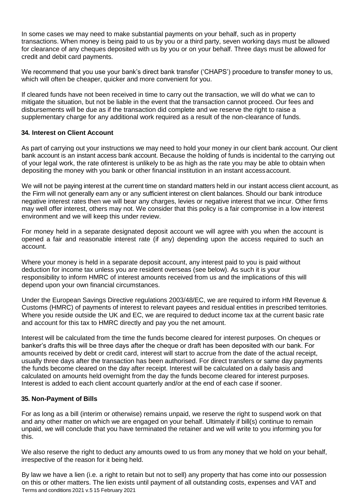In some cases we may need to make substantial payments on your behalf, such as in property transactions. When money is being paid to us by you or a third party, seven working days must be allowed for clearance of any cheques deposited with us by you or on your behalf. Three days must be allowed for credit and debit card payments.

We recommend that you use your bank's direct bank transfer ('CHAPS') procedure to transfer money to us, which will often be cheaper, quicker and more convenient for you.

If cleared funds have not been received in time to carry out the transaction, we will do what we can to mitigate the situation, but not be liable in the event that the transaction cannot proceed. Our fees and disbursements will be due as if the transaction did complete and we reserve the right to raise a supplementary charge for any additional work required as a result of the non-clearance of funds.

# **34. Interest on Client Account**

As part of carrying out your instructions we may need to hold your money in our client bank account. Our client bank account is an instant access bank account. Because the holding of funds is incidental to the carrying out of your legal work, the rate ofinterest is unlikely to be as high as the rate you may be able to obtain when depositing the money with you bank or other financial institution in an instant accessaccount.

We will not be paying interest at the current time on standard matters held in our instant access client account, as the Firm will not generally earn any or any sufficient interest on client balances. Should our bank introduce negative interest rates then we will bear any charges, levies or negative interest that we incur. Other firms may well offer interest, others may not. We consider that this policy is a fair compromise in a low interest environment and we will keep this under review.

For money held in a separate designated deposit account we will agree with you when the account is opened a fair and reasonable interest rate (if any) depending upon the access required to such an account.

Where your money is held in a separate deposit account, any interest paid to you is paid without deduction for income tax unless you are resident overseas (see below). As such it is your responsibility to inform HMRC of interest amounts received from us and the implications of this will depend upon your own financial circumstances.

Under the European Savings Directive regulations 2003/48/EC, we are required to inform HM Revenue & Customs (HMRC) of payments of interest to relevant payees and residual entities in prescribed territories. Where you reside outside the UK and EC, we are required to deduct income tax at the current basic rate and account for this tax to HMRC directly and pay you the net amount.

Interest will be calculated from the time the funds become cleared for interest purposes. On cheques or banker's drafts this will be three days after the cheque or draft has been deposited with our bank. For amounts received by debt or credit card, interest will start to accrue from the date of the actual receipt, usually three days after the transaction has been authorised. For direct transfers or same day payments the funds become cleared on the day after receipt. Interest will be calculated on a daily basis and calculated on amounts held overnight from the day the funds become cleared for interest purposes. Interest is added to each client account quarterly and/or at the end of each case if sooner.

# **35. Non-Payment of Bills**

For as long as a bill (interim or otherwise) remains unpaid, we reserve the right to suspend work on that and any other matter on which we are engaged on your behalf. Ultimately if bill(s) continue to remain unpaid, we will conclude that you have terminated the retainer and we will write to you informing you for this.

We also reserve the right to deduct any amounts owed to us from any money that we hold on your behalf, irrespective of the reason for it being held.

Terms and conditions 2021 v.5 15 February 2021 By law we have a lien (i.e. a right to retain but not to sell) any property that has come into our possession on this or other matters. The lien exists until payment of all outstanding costs, expenses and VAT and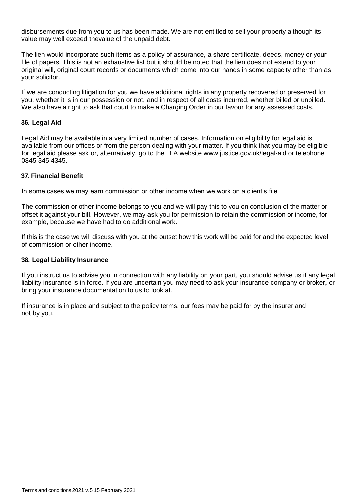disbursements due from you to us has been made. We are not entitled to sell your property although its value may well exceed thevalue of the unpaid debt.

The lien would incorporate such items as a policy of assurance, a share certificate, deeds, money or your file of papers. This is not an exhaustive list but it should be noted that the lien does not extend to your original will, original court records or documents which come into our hands in some capacity other than as your solicitor.

If we are conducting litigation for you we have additional rights in any property recovered or preserved for you, whether it is in our possession or not, and in respect of all costs incurred, whether billed or unbilled. We also have a right to ask that court to make a Charging Order in our favour for any assessed costs.

### **36. Legal Aid**

Legal Aid may be available in a very limited number of cases. Information on eligibility for legal aid is available from our offices or from the person dealing with your matter. If you think that you may be eligible for legal aid please ask or, alternatively, go to the LLA [website www.justice.gov.uk/legal-aid o](http://www.justice.gov.uk/legal-aid)r telephone 0845 345 4345.

# **37.Financial Benefit**

In some cases we may earn commission or other income when we work on a client's file.

The commission or other income belongs to you and we will pay this to you on conclusion of the matter or offset it against your bill. However, we may ask you for permission to retain the commission or income, for example, because we have had to do additional work.

If this is the case we will discuss with you at the outset how this work will be paid for and the expected level of commission or other income.

#### **38. Legal Liability Insurance**

If you instruct us to advise you in connection with any liability on your part, you should advise us if any legal liability insurance is in force. If you are uncertain you may need to ask your insurance company or broker, or bring your insurance documentation to us to look at.

If insurance is in place and subject to the policy terms, our fees may be paid for by the insurer and not by you.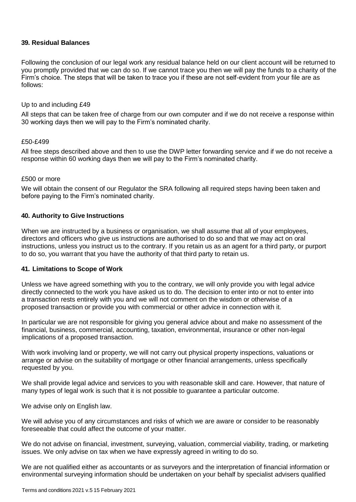# **39. Residual Balances**

Following the conclusion of our legal work any residual balance held on our client account will be returned to you promptly provided that we can do so. If we cannot trace you then we will pay the funds to a charity of the Firm's choice. The steps that will be taken to trace you if these are not self-evident from your file are as follows:

#### Up to and including £49

All steps that can be taken free of charge from our own computer and if we do not receive a response within 30 working days then we will pay to the Firm's nominated charity.

#### £50-£499

All free steps described above and then to use the DWP letter forwarding service and if we do not receive a response within 60 working days then we will pay to the Firm's nominated charity.

#### £500 or more

We will obtain the consent of our Regulator the SRA following all required steps having been taken and before paying to the Firm's nominated charity.

#### **40. Authority to Give Instructions**

When we are instructed by a business or organisation, we shall assume that all of your employees, directors and officers who give us instructions are authorised to do so and that we may act on oral instructions, unless you instruct us to the contrary. If you retain us as an agent for a third party, or purport to do so, you warrant that you have the authority of that third party to retain us.

#### **41. Limitations to Scope of Work**

Unless we have agreed something with you to the contrary, we will only provide you with legal advice directly connected to the work you have asked us to do. The decision to enter into or not to enter into a transaction rests entirely with you and we will not comment on the wisdom or otherwise of a proposed transaction or provide you with commercial or other advice in connection with it.

In particular we are not responsible for giving you general advice about and make no assessment of the financial, business, commercial, accounting, taxation, environmental, insurance or other non-legal implications of a proposed transaction.

With work involving land or property, we will not carry out physical property inspections, valuations or arrange or advise on the suitability of mortgage or other financial arrangements, unless specifically requested by you.

We shall provide legal advice and services to you with reasonable skill and care. However, that nature of many types of legal work is such that it is not possible to guarantee a particular outcome.

We advise only on English law.

We will advise you of any circumstances and risks of which we are aware or consider to be reasonably foreseeable that could affect the outcome of your matter.

We do not advise on financial, investment, surveying, valuation, commercial viability, trading, or marketing issues. We only advise on tax when we have expressly agreed in writing to do so.

We are not qualified either as accountants or as surveyors and the interpretation of financial information or environmental surveying information should be undertaken on your behalf by specialist advisers qualified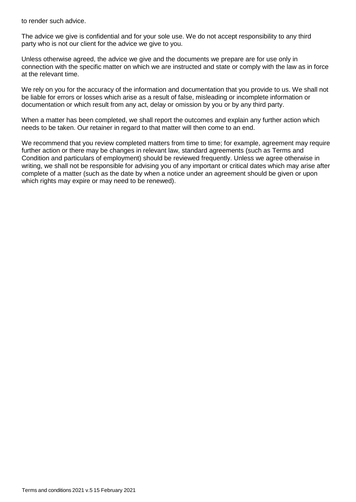to render such advice.

The advice we give is confidential and for your sole use. We do not accept responsibility to any third party who is not our client for the advice we give to you.

Unless otherwise agreed, the advice we give and the documents we prepare are for use only in connection with the specific matter on which we are instructed and state or comply with the law as in force at the relevant time.

We rely on you for the accuracy of the information and documentation that you provide to us. We shall not be liable for errors or losses which arise as a result of false, misleading or incomplete information or documentation or which result from any act, delay or omission by you or by any third party.

When a matter has been completed, we shall report the outcomes and explain any further action which needs to be taken. Our retainer in regard to that matter will then come to an end.

We recommend that you review completed matters from time to time; for example, agreement may require further action or there may be changes in relevant law, standard agreements (such as Terms and Condition and particulars of employment) should be reviewed frequently. Unless we agree otherwise in writing, we shall not be responsible for advising you of any important or critical dates which may arise after complete of a matter (such as the date by when a notice under an agreement should be given or upon which rights may expire or may need to be renewed).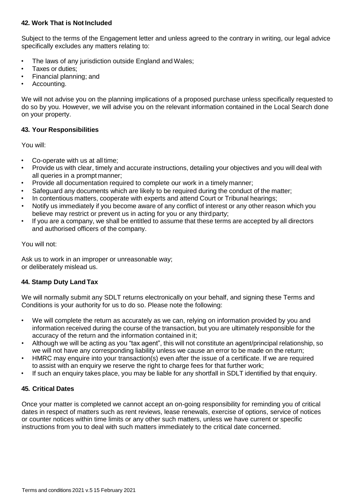# **42. Work That is NotIncluded**

Subject to the terms of the Engagement letter and unless agreed to the contrary in writing, our legal advice specifically excludes any matters relating to:

- The laws of any jurisdiction outside England and Wales;
- Taxes or duties:
- Financial planning; and
- Accounting.

We will not advise you on the planning implications of a proposed purchase unless specifically requested to do so by you. However, we will advise you on the relevant information contained in the Local Search done on your property.

# **43. Your Responsibilities**

You will:

- Co-operate with us at all time;
- Provide us with clear, timely and accurate instructions, detailing your objectives and you will deal with all queries in a prompt manner;
- Provide all documentation required to complete our work in a timely manner;
- Safeguard any documents which are likely to be required during the conduct of the matter;
- In contentious matters, cooperate with experts and attend Court or Tribunal hearings;
- Notify us immediately if you become aware of any conflict of interest or any other reason which you believe may restrict or prevent us in acting for you or any thirdparty;
- If you are a company, we shall be entitled to assume that these terms are accepted by all directors and authorised officers of the company.

You will not:

Ask us to work in an improper or unreasonable way; or deliberately mislead us.

# **44. Stamp Duty Land Tax**

We will normally submit any SDLT returns electronically on your behalf, and signing these Terms and Conditions is your authority for us to do so. Please note the following:

- We will complete the return as accurately as we can, relying on information provided by you and information received during the course of the transaction, but you are ultimately responsible for the accuracy of the return and the information contained in it;
- Although we will be acting as you "tax agent", this will not constitute an agent/principal relationship, so we will not have any corresponding liability unless we cause an error to be made on the return;
- HMRC may enquire into your transaction(s) even after the issue of a certificate. If we are required to assist with an enquiry we reserve the right to charge fees for that further work;
- If such an enquiry takes place, you may be liable for any shortfall in SDLT identified by that enquiry.

# **45. Critical Dates**

Once your matter is completed we cannot accept an on-going responsibility for reminding you of critical dates in respect of matters such as rent reviews, lease renewals, exercise of options, service of notices or counter notices within time limits or any other such matters, unless we have current or specific instructions from you to deal with such matters immediately to the critical date concerned.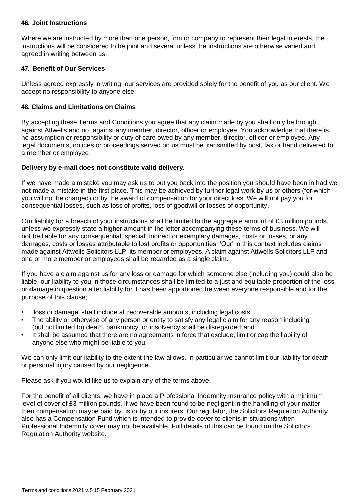## **46. Joint Instructions**

Where we are instructed by more than one person, firm or company to represent their legal interests, the instructions will be considered to be joint and several unless the instructions are otherwise varied and agreed in writing between us.

# **47. Benefit of Our Services**

Unless agreed expressly in writing, our services are provided solely for the benefit of you as our client. We accept no responsibility to anyone else.

# **48. Claims and Limitations on Claims**

By accepting these Terms and Conditions you agree that any claim made by you shall only be brought against Attwells and not against any member, director, officer or employee. You acknowledge that there is no assumption or responsibility or duty of care owed by any member, director, officer or employee. Any legal documents, notices or proceedings served on us must be transmitted by post, fax or hand delivered to a member or employee.

# **Delivery by e-mail does not constitute valid delivery.**

If we have made a mistake you may ask us to put you back into the position you should have been in had we not made a mistake in the first place. This may be achieved by further legal work by us or others (for which you will not be charged) or by the award of compensation for your direct loss. We will not pay you for consequential losses, such as loss of profits, loss of goodwill or losses of opportunity.

Our liability for a breach of your instructions shall be limited to the aggregate amount of £3 million pounds, unless we expressly state a higher amount in the letter accompanying these terms of business. We will not be liable for any consequential, special, indirect or exemplary damages, costs or losses, or any damages, costs or losses attributable to lost profits or opportunities. 'Our' in this context includes claims made against Attwells Solicitors LLP, its member or employees. A claim against Attwells Solicitors LLP and one or more member or employees shall be regarded as a single claim.

If you have a claim against us for any loss or damage for which someone else (including you) could also be liable, our liability to you in those circumstances shall be limited to a just and equitable proportion of the loss or damage in question after liability for it has been apportioned between everyone responsible and for the purpose of this clause;

- 'loss or damage' shall include all recoverable amounts, including legal costs;
- The ability or otherwise of any person or entity to satisfy any legal claim for any reason including (but not limited to) death, bankruptcy, or insolvency shall be disregarded; and
- It shall be assumed that there are no agreements in force that exclude, limit or cap the liability of anyone else who might be liable to you.

We can only limit our liability to the extent the law allows. In particular we cannot limit our liability for death or personal injury caused by our negligence.

Please ask if you would like us to explain any of the terms above.

For the benefit of all clients, we have in place a Professional Indemnity Insurance policy with a minimum level of cover of £3 million pounds. If we have been found to be negligent in the handling of your matter then compensation maybe paid by us or by our insurers. Our regulator, the Solicitors Regulation Authority also has a Compensation Fund which is intended to provide cover to clients in situations when Professional Indemnity cover may not be available. Full details of this can be found on the Solicitors Regulation Authority website.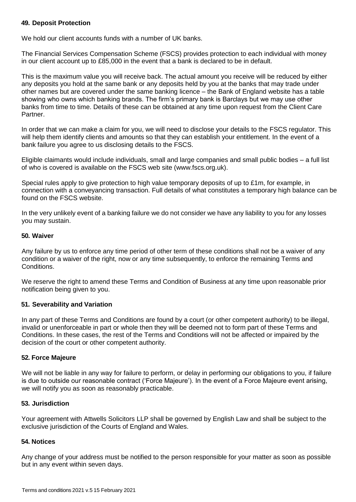# **49. Deposit Protection**

We hold our client accounts funds with a number of UK banks.

The Financial Services Compensation Scheme (FSCS) provides protection to each individual with money in our client account up to £85,000 in the event that a bank is declared to be in default.

This is the maximum value you will receive back. The actual amount you receive will be reduced by either any deposits you hold at the same bank or any deposits held by you at the banks that may trade under other names but are covered under the same banking licence – the Bank of England website has a table showing who owns which banking brands. The firm's primary bank is Barclays but we may use other banks from time to time. Details of these can be obtained at any time upon request from the Client Care Partner.

In order that we can make a claim for you, we will need to disclose your details to the FSCS regulator. This will help them identify clients and amounts so that they can establish your entitlement. In the event of a bank failure you agree to us disclosing details to the FSCS.

Eligible claimants would include individuals, small and large companies and small public bodies – a full list of who is covered is available on the FSCS web site (www.fscs.org.uk).

Special rules apply to give protection to high value temporary deposits of up to £1m, for example, in connection with a conveyancing transaction. Full details of what constitutes a temporary high balance can be found on the FSCS website.

In the very unlikely event of a banking failure we do not consider we have any liability to you for any losses you may sustain.

### **50. Waiver**

Any failure by us to enforce any time period of other term of these conditions shall not be a waiver of any condition or a waiver of the right, now or any time subsequently, to enforce the remaining Terms and Conditions.

We reserve the right to amend these Terms and Condition of Business at any time upon reasonable prior notification being given to you.

# **51. Severability and Variation**

In any part of these Terms and Conditions are found by a court (or other competent authority) to be illegal, invalid or unenforceable in part or whole then they will be deemed not to form part of these Terms and Conditions. In these cases, the rest of the Terms and Conditions will not be affected or impaired by the decision of the court or other competent authority.

# **52. Force Majeure**

We will not be liable in any way for failure to perform, or delay in performing our obligations to you, if failure is due to outside our reasonable contract ('Force Majeure'). In the event of a Force Majeure event arising, we will notify you as soon as reasonably practicable.

# **53. Jurisdiction**

Your agreement with Attwells Solicitors LLP shall be governed by English Law and shall be subject to the exclusive jurisdiction of the Courts of England and Wales.

# **54. Notices**

Any change of your address must be notified to the person responsible for your matter as soon as possible but in any event within seven days.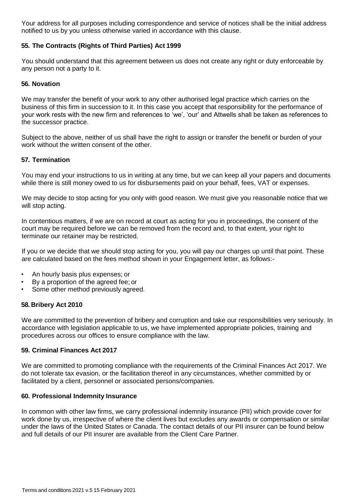Your address for all purposes including correspondence and service of notices shall be the initial address notified to us by you unless otherwise varied in accordance with this clause.

# **55. The Contracts (Rights of Third Parties) Act 1999**

You should understand that this agreement between us does not create any right or duty enforceable by any person not a party to it.

### **56. Novation**

We may transfer the benefit of your work to any other authorised legal practice which carries on the business of this firm in succession to it. In this case you accept that responsibility for the performance of your work rests with the new firm and references to 'we', 'our' and Attwells shall be taken as references to the successor practice.

Subject to the above, neither of us shall have the right to assign or transfer the benefit or burden of your work without the written consent of the other.

### **57. Termination**

You may end your instructions to us in writing at any time, but we can keep all your papers and documents while there is still money owed to us for disbursements paid on your behalf, fees, VAT or expenses.

We may decide to stop acting for you only with good reason. We must give you reasonable notice that we will stop acting.

In contentious matters, if we are on record at court as acting for you in proceedings, the consent of the court may be required before we can be removed from the record and, to that extent, your right to terminate our retainer may be restricted.

If you or we decide that we should stop acting for you, you will pay our charges up until that point. These are calculated based on the fees method shown in your Engagement letter, as follows:-

- An hourly basis plus expenses; or
- By a proportion of the agreed fee; or
- Some other method previously agreed.

# **58. Bribery Act 2010**

We are committed to the prevention of bribery and corruption and take our responsibilities very seriously. In accordance with legislation applicable to us, we have implemented appropriate policies, training and procedures across our offices to ensure compliance with the law.

# **59. Criminal Finances Act 2017**

We are committed to promoting compliance with the requirements of the Criminal Finances Act 2017. We do not tolerate tax evasion, or the facilitation thereof in any circumstances, whether committed by or facilitated by a client, personnel or associated persons/companies.

#### **60. Professional Indemnity Insurance**

In common with other law firms, we carry professional indemnity insurance (PII) which provide cover for work done by us, irrespective of where the client lives but excludes any awards or compensation or similar under the laws of the United States or Canada. The contact details of our PII insurer can be found below and full details of our PII insurer are available from the Client Care Partner.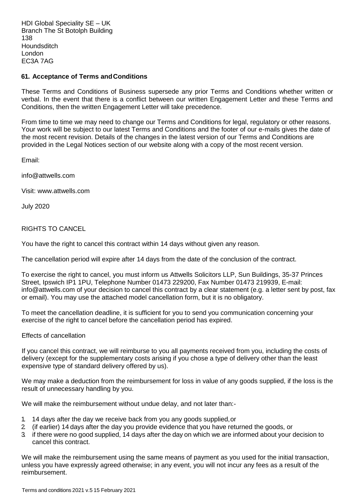HDI Global Speciality SE – UK Branch The St Botolph Building 138 **Houndsditch** London EC3A 7AG

### **61. Acceptance of Terms andConditions**

These Terms and Conditions of Business supersede any prior Terms and Conditions whether written or verbal. In the event that there is a conflict between our written Engagement Letter and these Terms and Conditions, then the written Engagement Letter will take precedence.

From time to time we may need to change our Terms and Conditions for legal, regulatory or other reasons. Your work will be subject to our latest Terms and Conditions and the footer of our e-mails gives the date of the most recent revision. Details of the changes in the latest version of our Terms and Conditions are provided in the Legal Notices section of our website along with a copy of the most recent version.

[Email:](mailto:info@attwells.com)

[info@attwells.com](mailto:info@attwells.com)

Visit: [www.attwells.com](http://www.attwells.com/)

July 2020

### RIGHTS TO CANCEL

You have the right to cancel this contract within 14 days without given any reason.

The cancellation period will expire after 14 days from the date of the conclusion of the contract.

To exercise the right to cancel, you must inform us Attwells Solicitors LLP, Sun Buildings, 35-37 Princes Street, Ipswich IP1 1PU, Telephone Number 01473 229200, Fax Number 01473 2199[39, E-mail:](mailto:info@attwells.com) [info@attwells.com o](mailto:info@attwells.com)f your decision to cancel this contract by a clear statement (e.g. a letter sent by post, fax or email). You may use the attached model cancellation form, but it is no obligatory.

To meet the cancellation deadline, it is sufficient for you to send you communication concerning your exercise of the right to cancel before the cancellation period has expired.

### Effects of cancellation

If you cancel this contract, we will reimburse to you all payments received from you, including the costs of delivery (except for the supplementary costs arising if you chose a type of delivery other than the least expensive type of standard delivery offered by us).

We may make a deduction from the reimbursement for loss in value of any goods supplied, if the loss is the result of unnecessary handling by you.

We will make the reimbursement without undue delay, and not later than:-

- 1. 14 days after the day we receive back from you any goods supplied,or
- 2. (if earlier) 14 days after the day you provide evidence that you have returned the goods, or
- 3. if there were no good supplied, 14 days after the day on which we are informed about your decision to cancel this contract.

We will make the reimbursement using the same means of payment as you used for the initial transaction, unless you have expressly agreed otherwise; in any event, you will not incur any fees as a result of the reimbursement.